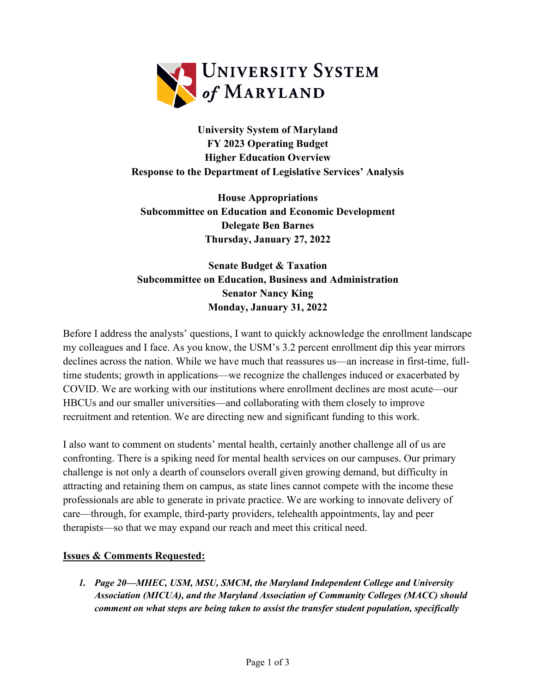

**University System of Maryland FY 2023 Operating Budget Higher Education Overview Response to the Department of Legislative Services' Analysis**

**House Appropriations Subcommittee on Education and Economic Development Delegate Ben Barnes Thursday, January 27, 2022**

**Senate Budget & Taxation Subcommittee on Education, Business and Administration Senator Nancy King Monday, January 31, 2022**

Before I address the analysts' questions, I want to quickly acknowledge the enrollment landscape my colleagues and I face. As you know, the USM's 3.2 percent enrollment dip this year mirrors declines across the nation. While we have much that reassures us—an increase in first-time, fulltime students; growth in applications—we recognize the challenges induced or exacerbated by COVID. We are working with our institutions where enrollment declines are most acute—our HBCUs and our smaller universities—and collaborating with them closely to improve recruitment and retention. We are directing new and significant funding to this work.

I also want to comment on students' mental health, certainly another challenge all of us are confronting. There is a spiking need for mental health services on our campuses. Our primary challenge is not only a dearth of counselors overall given growing demand, but difficulty in attracting and retaining them on campus, as state lines cannot compete with the income these professionals are able to generate in private practice. We are working to innovate delivery of care—through, for example, third-party providers, telehealth appointments, lay and peer therapists—so that we may expand our reach and meet this critical need.

## **Issues & Comments Requested:**

*1. Page 20—MHEC, USM, MSU, SMCM, the Maryland Independent College and University Association (MICUA), and the Maryland Association of Community Colleges (MACC) should comment on what steps are being taken to assist the transfer student population, specifically*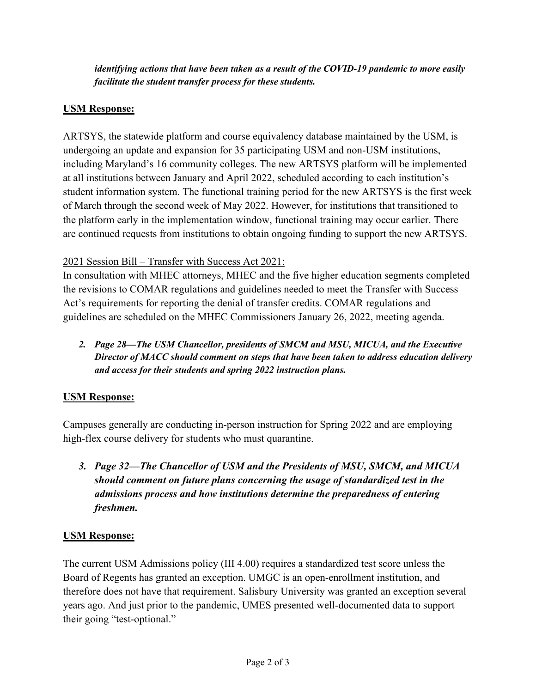*identifying actions that have been taken as a result of the COVID-19 pandemic to more easily facilitate the student transfer process for these students.*

## **USM Response:**

ARTSYS, the statewide platform and course equivalency database maintained by the USM, is undergoing an update and expansion for 35 participating USM and non-USM institutions, including Maryland's 16 community colleges. The new ARTSYS platform will be implemented at all institutions between January and April 2022, scheduled according to each institution's student information system. The functional training period for the new ARTSYS is the first week of March through the second week of May 2022. However, for institutions that transitioned to the platform early in the implementation window, functional training may occur earlier. There are continued requests from institutions to obtain ongoing funding to support the new ARTSYS.

## 2021 Session Bill – Transfer with Success Act 2021:

In consultation with MHEC attorneys, MHEC and the five higher education segments completed the revisions to COMAR regulations and guidelines needed to meet the Transfer with Success Act's requirements for reporting the denial of transfer credits. COMAR regulations and guidelines are scheduled on the MHEC Commissioners January 26, 2022, meeting agenda.

*2. Page 28—The USM Chancellor, presidents of SMCM and MSU, MICUA, and the Executive Director of MACC should comment on steps that have been taken to address education delivery and access for their students and spring 2022 instruction plans.* 

# **USM Response:**

Campuses generally are conducting in-person instruction for Spring 2022 and are employing high-flex course delivery for students who must quarantine.

*3. Page 32—The Chancellor of USM and the Presidents of MSU, SMCM, and MICUA should comment on future plans concerning the usage of standardized test in the admissions process and how institutions determine the preparedness of entering freshmen.*

## **USM Response:**

The current USM Admissions policy (III 4.00) requires a standardized test score unless the Board of Regents has granted an exception. UMGC is an open-enrollment institution, and therefore does not have that requirement. Salisbury University was granted an exception several years ago. And just prior to the pandemic, UMES presented well-documented data to support their going "test-optional."